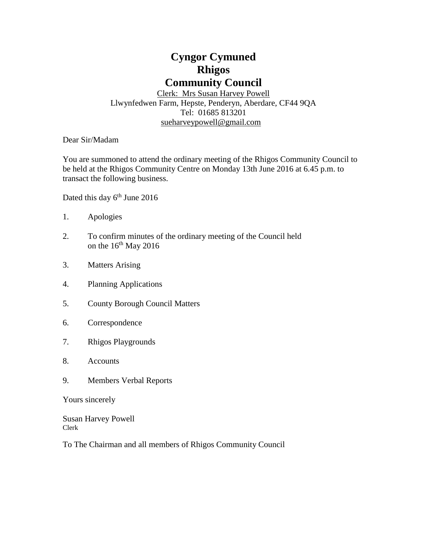# **Cyngor Cymuned Rhigos Community Council**

Clerk: Mrs Susan Harvey Powell Llwynfedwen Farm, Hepste, Penderyn, Aberdare, CF44 9QA Tel: 01685 813201 [sueharveypowell@g](mailto:sharveypowell@comin-infants.co.uk)mail.com

Dear Sir/Madam

You are summoned to attend the ordinary meeting of the Rhigos Community Council to be held at the Rhigos Community Centre on Monday 13th June 2016 at 6.45 p.m. to transact the following business.

Dated this day 6<sup>th</sup> June 2016

- 1. Apologies
- 2. To confirm minutes of the ordinary meeting of the Council held on the  $16<sup>th</sup>$  May 2016
- 3. Matters Arising
- 4. Planning Applications
- 5. County Borough Council Matters
- 6. Correspondence
- 7. Rhigos Playgrounds
- 8. Accounts
- 9. Members Verbal Reports

Yours sincerely

Susan Harvey Powell Clerk

To The Chairman and all members of Rhigos Community Council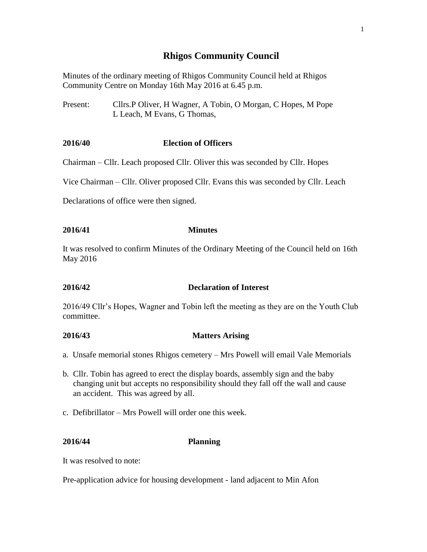# **Rhigos Community Council**

Minutes of the ordinary meeting of Rhigos Community Council held at Rhigos Community Centre on Monday 16th May 2016 at 6.45 p.m.

Present: Cllrs.P Oliver, H Wagner, A Tobin, O Morgan, C Hopes, M Pope L Leach, M Evans, G Thomas,

# **2016/40 Election of Officers**

Chairman – Cllr. Leach proposed Cllr. Oliver this was seconded by Cllr. Hopes

Vice Chairman – Cllr. Oliver proposed Cllr. Evans this was seconded by Cllr. Leach

Declarations of office were then signed.

# **2016/41 Minutes**

It was resolved to confirm Minutes of the Ordinary Meeting of the Council held on 16th May 2016

# **2016/42 Declaration of Interest**

2016/49 Cllr's Hopes, Wagner and Tobin left the meeting as they are on the Youth Club committee.

# **2016/43 Matters Arising**

- a. Unsafe memorial stones Rhigos cemetery Mrs Powell will email Vale Memorials
- b. Cllr. Tobin has agreed to erect the display boards, assembly sign and the baby changing unit but accepts no responsibility should they fall off the wall and cause an accident. This was agreed by all.
- c. Defibrillator Mrs Powell will order one this week.

# **2016/44 Planning**

It was resolved to note:

Pre-application advice for housing development - land adjacent to Min Afon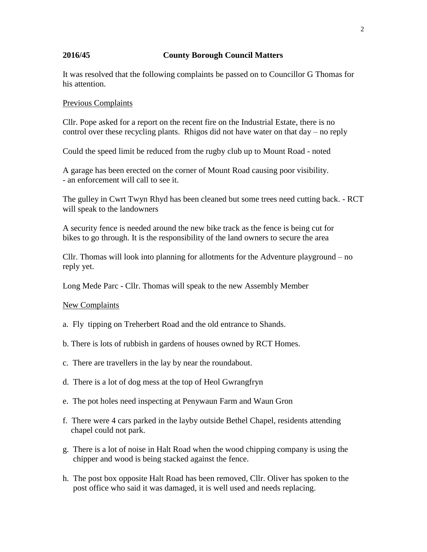# **2016/45 County Borough Council Matters**

It was resolved that the following complaints be passed on to Councillor G Thomas for his attention.

### Previous Complaints

Cllr. Pope asked for a report on the recent fire on the Industrial Estate, there is no control over these recycling plants. Rhigos did not have water on that day – no reply

Could the speed limit be reduced from the rugby club up to Mount Road - noted

A garage has been erected on the corner of Mount Road causing poor visibility. - an enforcement will call to see it.

The gulley in Cwrt Twyn Rhyd has been cleaned but some trees need cutting back. - RCT will speak to the landowners

A security fence is needed around the new bike track as the fence is being cut for bikes to go through. It is the responsibility of the land owners to secure the area

Cllr. Thomas will look into planning for allotments for the Adventure playground – no reply yet.

Long Mede Parc - Cllr. Thomas will speak to the new Assembly Member

#### New Complaints

- a. Fly tipping on Treherbert Road and the old entrance to Shands.
- b. There is lots of rubbish in gardens of houses owned by RCT Homes.
- c. There are travellers in the lay by near the roundabout.
- d. There is a lot of dog mess at the top of Heol Gwrangfryn
- e. The pot holes need inspecting at Penywaun Farm and Waun Gron
- f. There were 4 cars parked in the layby outside Bethel Chapel, residents attending chapel could not park.
- g. There is a lot of noise in Halt Road when the wood chipping company is using the chipper and wood is being stacked against the fence.
- h. The post box opposite Halt Road has been removed, Cllr. Oliver has spoken to the post office who said it was damaged, it is well used and needs replacing.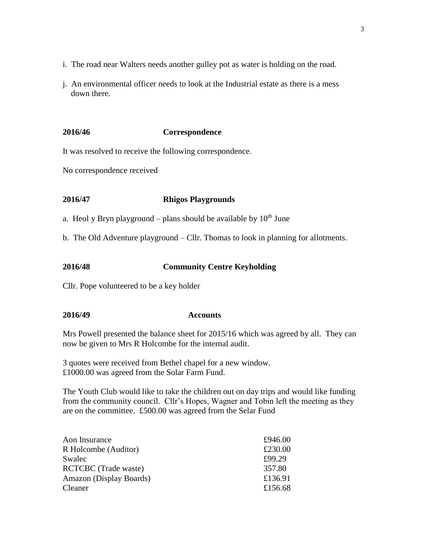- i. The road near Walters needs another gulley pot as water is holding on the road.
- j. An environmental officer needs to look at the Industrial estate as there is a mess down there.

# **2016/46 Correspondence**

It was resolved to receive the following correspondence.

No correspondence received

# **2016/47 Rhigos Playgrounds**

a. Heol y Bryn playground – plans should be available by  $10^{th}$  June

b. The Old Adventure playground – Cllr. Thomas to look in planning for allotments.

# **2016/48 Community Centre Keyholding**

Cllr. Pope volunteered to be a key holder

#### **2016/49 Accounts**

Mrs Powell presented the balance sheet for 2015/16 which was agreed by all. They can now be given to Mrs R Holcombe for the internal audit.

3 quotes were received from Bethel chapel for a new window. £1000.00 was agreed from the Solar Farm Fund.

The Youth Club would like to take the children out on day trips and would like funding from the community council. Cllr's Hopes, Wagner and Tobin left the meeting as they are on the committee. £500.00 was agreed from the Selar Fund

| Aon Insurance               | £946.00 |
|-----------------------------|---------|
| R Holcombe (Auditor)        | £230.00 |
| Swalec                      | £99.29  |
| <b>RCTCBC</b> (Trade waste) | 357.80  |
| Amazon (Display Boards)     | £136.91 |
| Cleaner                     | £156.68 |